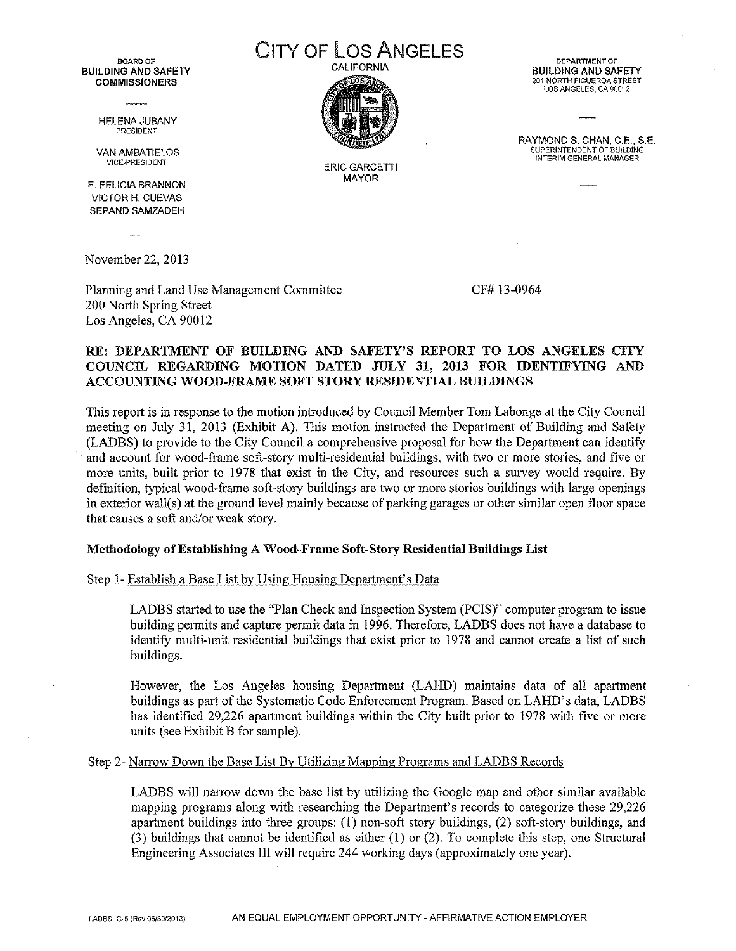BOARD OF BUILDING AND SAFETY COMMISSIONERS

> HELENA JUBANY PRESIDENT

VAN AMBATIELOS VICE·PRESIDENT

E. FELICIA BRANNON VICTOR H. CUEVAS SEPAND SAMZADEH

November 22, 2013

Planning and Land Use Management Committee 200 North Spring Street Los Angeles, CA 90012

CF# 13-0964

#### RE: DEPARTMENT OF BUILDING AND SAFETY'S REPORT TO LOS ANGELES CITY COUNCIL REGARDING MOTION DATED JULY 31, 2013 FOR IDENTIFYING AND ACCOUNTING WOOD-FRAME SOFT STORY RESIDENTIAL BUILDINGS

This report is in response to the motion introdnced by Council Member Tom Labonge at the City Council meeting on July 31, 2013 (Exhibit *A),* This motion instructed the Department of Building and Safety (LADBS) to provide to the City Council a comprehensive proposal for how the Department can identify . and account for wood-frame soft-story multi-residential buildings, with two or more stories, and five or more units, built prior to 1978 that exist in the City, and resources such a survey would require. By definition, typical wood-frame soft-story buildings are two or more stories buildings with large openings in exterior wall(s) at the ground level mainly because of parking garages or other similar open floor space that causes a soft and/or weak story. '

#### Methodology of Establishing A Wood-Frame Soft-Story Residential Buildings List

Step 1- Establish a Base List by Using Housing Department's Data

LADBS started to use the "Plan Check and Inspection System (PCIS)" computer program to issue building permits and capture permit data in 1996. Therefore, LADBS does not have a database to identify multi-unit residential buildings that exist prior to 1978 and cannot create a list of such buildings.

However, the Los Angeles housing Department (LARD) maintains data of all apartment buildings as part of the Systematic Code Enforcement Program, Based on LARD's data, LADBS has identified 29,226 apartment buildings within the City built prior to 1978 with five or more units (see Exhibit B for sample).

Step 2- Narrow Down the Base List By Utilizing Mapping Programs and LADBS Records

LADBS will narrow down the base list by utilizing the Google map and other similar available mapping programs along with researching the Department's records to categorize these 29,226 apartment buildings into three groups:  $(1)$  non-soft story buildings,  $(2)$  soft-story buildings, and (3) buildings that cannot be identified as either (I) or (2). To complete this step, one Structural Engineering Associates III will require 244 working days (approximately one year).

**DEPARTMENT OF** BUILDING AND SAFETY 201 NORTH FIGUEROA STREET lOS ANGELES, CA 90012

RAYMOND S. CHAN, C.E., S.E. SUPERINTENDENT OF BUILDING INTERIM GENERAL MANAGER

CITY OF Los ANGELES CALIFORNIA

> ERIC GARCETTI MAYOR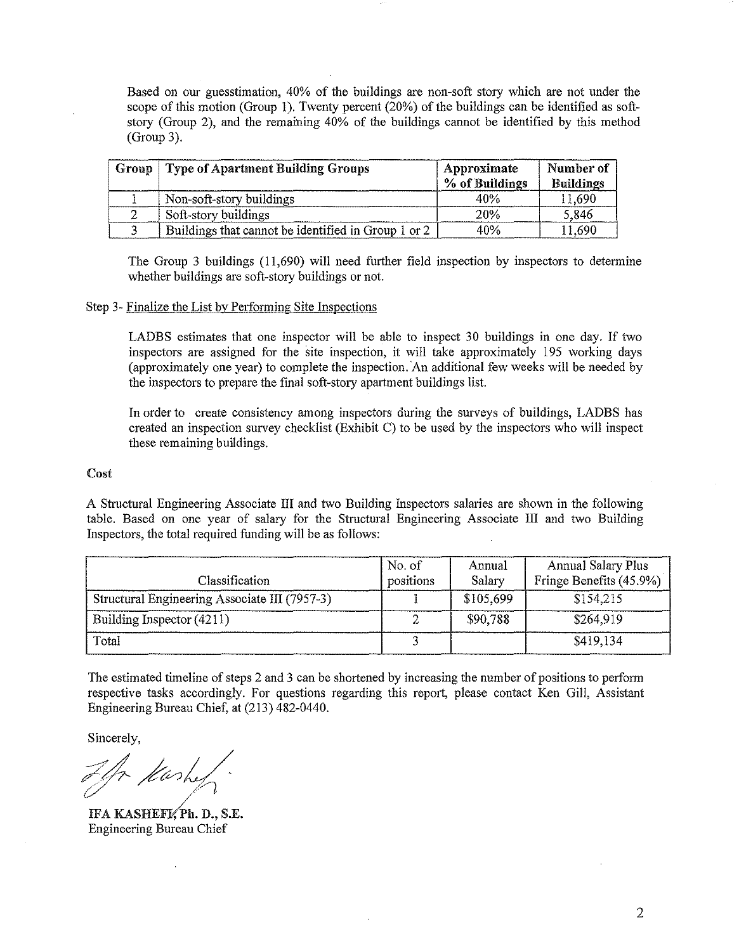Based on our guesstimation, 40% of the buildings are non-soft story which are not under the scope of this motion (Group I). Twenty percent (20%) of the buildings can be identified as softstory (Group 2), and the remaining 40% of the buildings cannot be identified by this method (Group 3).

| Group | <b>Type of Apartment Building Groups</b>            | Approximate<br>% of Buildings | Number of<br><b>Buildings</b> |
|-------|-----------------------------------------------------|-------------------------------|-------------------------------|
|       | Non-soft-story buildings                            | 40%                           | 11,690                        |
|       | Soft-story buildings                                | 20%                           | 5.846                         |
|       | Buildings that cannot be identified in Group 1 or 2 | 40%                           | 11.690                        |

The Group 3 buildings (11,690) will need further field inspection by inspectors to determine whether buildings are soft-story buildings or not.

#### Step 3- Finalize the List by Performing Site Inspections

LADBS estimates that one inspector will be able to inspect 30 buildings in one day. If two inspectors are assigned for the site inspection, it will take approximately 195 working days (approximately one year) to complete the inspection. An additional few weeks will be needed by the inspectors to prepare the final soft-story apartment buildings list.

In order to create consistency among inspectors during the surveys of buildings, LADBS has created an inspection survey checklist (Exhibit C) to be used by the inspectors who will inspect these remaining buildings.

#### Cost

A Structural Engineering Associate III and two Building Inspectors salaries are shown in the following table. Based on one year of salary for the Structural Engineering Associate III and two Building Inspectors, the total required funding will be as follows:

| Classification                                | No. of<br>positions | Annual<br>Salary | <b>Annual Salary Plus</b><br>Fringe Benefits (45.9%) |
|-----------------------------------------------|---------------------|------------------|------------------------------------------------------|
| Structural Engineering Associate III (7957-3) |                     | \$105,699        | \$154,215                                            |
| Building Inspector (4211)                     |                     | \$90,788         | \$264,919                                            |
| Total                                         |                     |                  | \$419,134                                            |

The estimated timeline of steps 2 and 3 can be shortened by increasing the number of positions to perform respective tasks accordingly. For questions regarding this report, please contact Ken Gill, Assistant Engineering Bureau Chief, at (213) 482-0440.

Sincerely,

*?;~~~?L/ .. ' (:./ /: PI*

IFA KASHEFKPh. D., S.E. Engineering Bureau Chief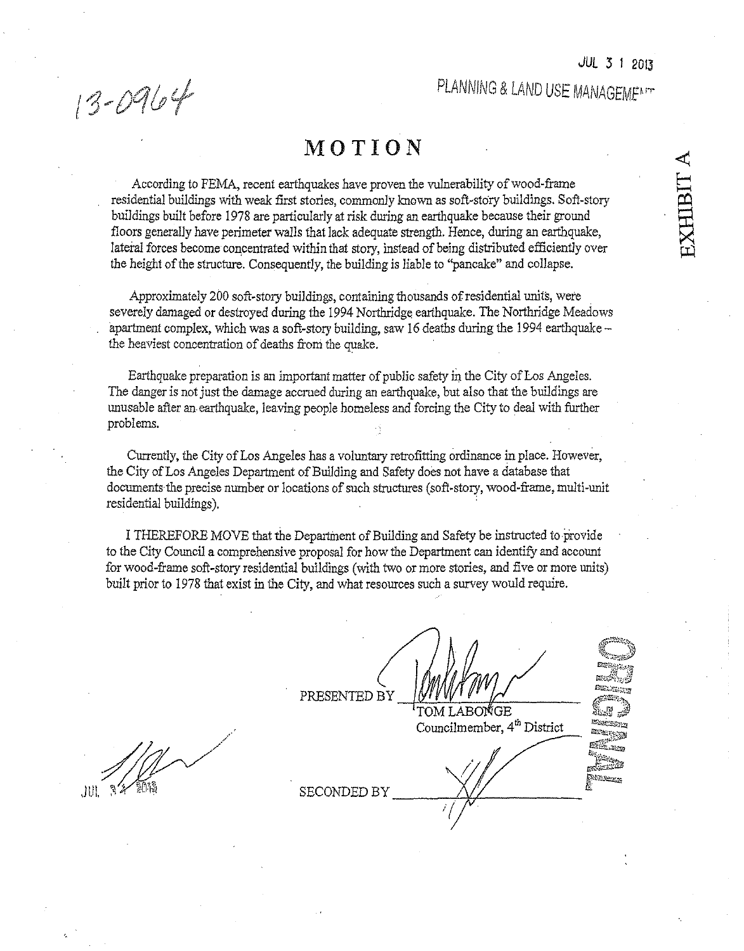13-0964

### **MOTION**

According to FEMA, recent earthquakes have proven the vulnerability of wood-frame residential buildings with weak first stories, commonly known as soft-story buildings. Soft-story buildings built before 1978 are particularly at risk during an earthquake because their ground floors generally have perimeter Walls that lack adequate strength. Hence, during an earthquake, lateral forces become concentrated within that story, instead of being distributed efficiently over the height of the structure. Consequently, the building is liable to "pancake" and collapse.

Approximately 200 soft-story buildings, containing thousands of residential units, were severely damaged or destroyed during the 1994 Northridge earthquake. The Northridge Meadows apartment complex, which was a soft-story building, saw 16 deaths during the 1994 earthquake the heaviest concentration of deaths from the quake.

Earthquake preparation is an important matter of public safety in the City of Los Angeles. The danger is not just the damage accrued during an earthquake, but also that the buildings are unusable after an earthquake, leaving people homeless and forcing the City to deal with further problems.

Currently, the City of Los Angeles has a voluntary retrofitting ordinance in place. However, the City of Los Angeles Department of Building and Safety does not have a database that documents the precise number or locations of such structures (soft-story, wood-frame, multi-unit residential buildings). .

I THEREFORE MOVE that the Department of Building and Safety be instructed to provide to the City Council a comprehensive proposal for how the Department can identify and account for wood-frame soft-story residential buildings (with two or more stories, and five or more *units)* built prior to 1978 that exist in the City, and what resources such a survey would require.

**SECONDED BY** 

PRESENTED BY

TOM LABONGE Councilmember,  $4<sup>th</sup>$  District

å V, **MANGESTAN** المستويات المنافقة<br>المستويات ES EL ACTI .<br>Nanaz

JUL.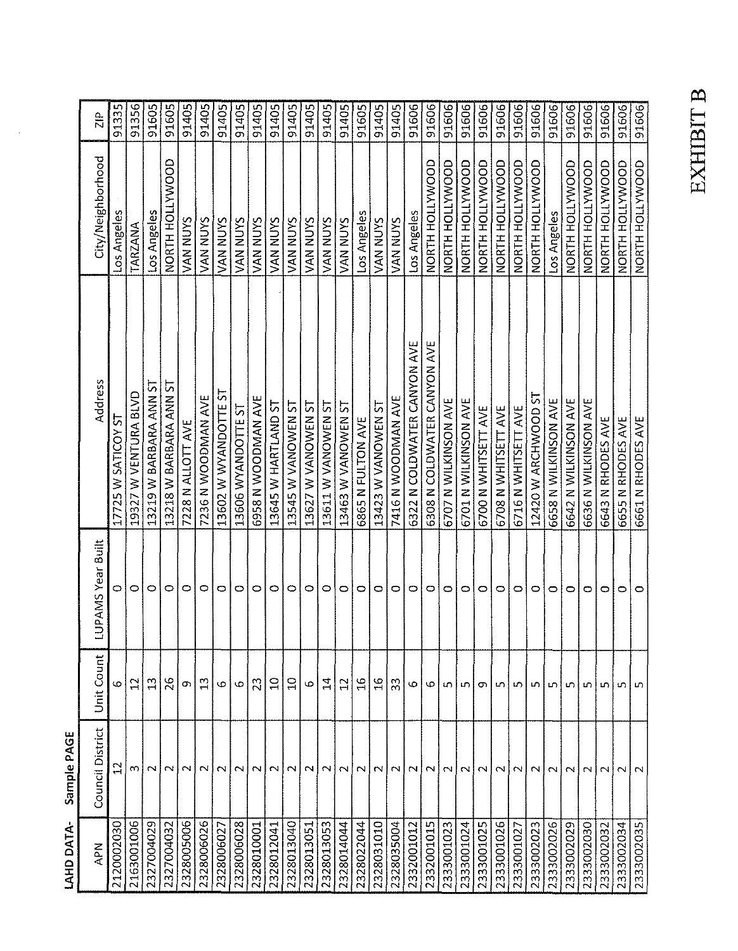| APN        | Council District      | <b>Unit Count</b> | LUPAMS Year Built | Address                     | City/Neighborhood | $\frac{\rho}{\sqrt{2}}$ |
|------------|-----------------------|-------------------|-------------------|-----------------------------|-------------------|-------------------------|
| 2120002030 | $\mathbf{r}$          | 6                 |                   | 17725 W SATICOY ST          | Los Angeles       | 91335                   |
| 2163001006 | നി                    | $\mathfrak{a}$    | $\circ$           | 19327 W VENTURA BLVD        | TARZANA           | 91356                   |
| 2327004029 | $\sim$                | $\mathbf{r}$      | $\circ$           | 13219 W BARBARA ANN ST      | Los Angeles       | 91605                   |
| 2327004032 | $\sim$                | 26                | $\circ$           | 13218 W BARBARA ANN ST      | NORTH HOLLYWOOD   | 91605                   |
| 2328005006 | $\sim$                | თ                 | 0                 | 7228 N ALLOTT AVE           | VAN NUYS          | 91405                   |
| 2328006026 | NI                    | $\mathbb{Z}$      | $\circ$           | 7236 N WOODMAN AVE          | VAN NUYS          | 91405                   |
| 2328006027 | $\sim$                | Φ                 | $\circ$           | 13602 W WYANDOTTE ST        | VAN NUYS          | 91405                   |
| 2328006028 | $\sim$                | 6                 | 0                 | 13606 WYANDOTTE ST          | VAN NUYS          | 91405                   |
| 2328010001 | $\sim$                | 23                | $\circ$           | 6958 N WOODMAN AVE          | VAN NUYS          | 91405                   |
| 2328012041 | $\sim$                | $\Xi$             | 0                 | 13645 W HARTLAND ST         | VAN NUYS          | 91405                   |
| 2328013040 | $\sim$                | $\Xi$             | $\circ$           | 13545 W VANOWEN ST          | <b>VAN NUYS</b>   | 91405                   |
| 2328013051 | $\sim$                | G                 | $\circ$           | 13627 W VANOWEN ST          | VAN NUYS          | 91405                   |
| 2328013053 | $\sim$                | $\vec{a}$         | $\circ$           | 13611 W VANOWEN ST          | <b>VAN NUYS</b>   | 91405                   |
| 2328014044 | $\sim$                | $\overline{12}$   | $\circ$           | 13463 W VANOWEN ST          | VAN NUYS          | 91405                   |
| 2328022044 | $\mathbf{\mathsf{N}}$ | ٩                 | 0                 | <b>6865 N FULTON AVE</b>    | Los Angeles       | 91605                   |
| 2328031010 | NI                    | $\frac{9}{1}$     | $\circ$           | I3423 W VANOWEN ST          | VAN NUYS          | 91405                   |
| 2328035004 | $\sim$                | 33                | 0                 | 7416 N WODMAN AVE           | <b>VAN NUYS</b>   | 91405                   |
| 2332001012 | $\sim$                | ပ                 | $\circ$           | 6322 N COLDWATER CANYON AVE | Los Angeles       | 91606                   |
| 2332001015 | $\sim$                | Ф                 | 0                 | 6308 N COLDWATER CANYON AVE | NORTH HOLLYWOOD   | 91606                   |
| 2333001023 | $\sim$                | LO.               | っ                 | 6707 N WILKINSON AVE        | NORTH HOLLYWOOD   | 91606                   |
| 2333001024 | $\sim$                | LO.               | O                 | 6701 N WILKINSON AVE        | NORTH HOLLYWOOD   | 91606                   |
| 2333001025 | $\mathbf{\sim}$       | σ                 | $\circ$           | 6700 N WHITSETT AVE         | NORTH HOLLYWOOD   | 91606                   |
| 2333001026 | $\sim$                | LN.               | 0                 | 6708 N WHITSETT AVE         | NORTH HOLLYWOOD   | 91606                   |
| 2333001027 | $\sim$                | LO.               | 0                 | 6716 N WHITSETT AVE         | NORTH HOLLYWOOD   | 91606                   |
| 2333002023 | $\sim$                | m                 | 0                 | 12420 W ARCHWOOD ST         | NORTH HOLLYWOOD   | 91606                   |
| 1333002026 | $\sim$                | w                 | 0                 | 6658 N WILKINSON AVE        | Los Angeles       | 91606                   |
| 2333002029 | $\sim$                | S                 | 0                 | 6642 N WILKINSON AVE        | NORTH HOLLYWOOD   | 91606                   |
| 2333002030 | N                     | ທ                 | O                 | 6636 N WILKINSON AVE        | NORTH HOLLYWOOD   | 91606                   |
| 2333002032 | $\sim$                | un.               | ⇨                 | 6643 N RHODES AVE           | NORTH HOLLYWOOD   | 91606                   |
| 2333002034 | $\sim$                | ທ                 | 0                 | 6655 N RHODES AVE           | NORTH HOLLYWOOD   | 91606                   |
| 2333002035 |                       | LO.               | 0                 | 6661 N RHODES AVE           | NORTH HOLLYWOOD   | 91606                   |

LAHD DATA-Sample PAGE

# **EXHIBIT B**